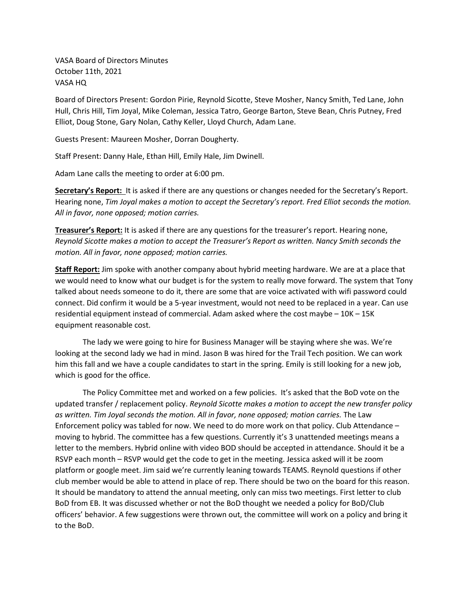VASA Board of Directors Minutes October 11th, 2021 VASA HQ

Board of Directors Present: Gordon Pirie, Reynold Sicotte, Steve Mosher, Nancy Smith, Ted Lane, John Hull, Chris Hill, Tim Joyal, Mike Coleman, Jessica Tatro, George Barton, Steve Bean, Chris Putney, Fred Elliot, Doug Stone, Gary Nolan, Cathy Keller, Lloyd Church, Adam Lane.

Guests Present: Maureen Mosher, Dorran Dougherty.

Staff Present: Danny Hale, Ethan Hill, Emily Hale, Jim Dwinell.

Adam Lane calls the meeting to order at 6:00 pm.

**Secretary's Report:** It is asked if there are any questions or changes needed for the Secretary's Report. Hearing none, *Tim Joyal makes a motion to accept the Secretary's report. Fred Elliot seconds the motion. All in favor, none opposed; motion carries.* 

**Treasurer's Report:** It is asked if there are any questions for the treasurer's report. Hearing none, *Reynold Sicotte makes a motion to accept the Treasurer's Report as written. Nancy Smith seconds the motion. All in favor, none opposed; motion carries.* 

**Staff Report:** Jim spoke with another company about hybrid meeting hardware. We are at a place that we would need to know what our budget is for the system to really move forward. The system that Tony talked about needs someone to do it, there are some that are voice activated with wifi password could connect. Did confirm it would be a 5-year investment, would not need to be replaced in a year. Can use residential equipment instead of commercial. Adam asked where the cost maybe – 10K – 15K equipment reasonable cost.

The lady we were going to hire for Business Manager will be staying where she was. We're looking at the second lady we had in mind. Jason B was hired for the Trail Tech position. We can work him this fall and we have a couple candidates to start in the spring. Emily is still looking for a new job, which is good for the office.

The Policy Committee met and worked on a few policies. It's asked that the BoD vote on the updated transfer / replacement policy. *Reynold Sicotte makes a motion to accept the new transfer policy as written. Tim Joyal seconds the motion. All in favor, none opposed; motion carries.* The Law Enforcement policy was tabled for now. We need to do more work on that policy. Club Attendance – moving to hybrid. The committee has a few questions. Currently it's 3 unattended meetings means a letter to the members. Hybrid online with video BOD should be accepted in attendance. Should it be a RSVP each month – RSVP would get the code to get in the meeting. Jessica asked will it be zoom platform or google meet. Jim said we're currently leaning towards TEAMS. Reynold questions if other club member would be able to attend in place of rep. There should be two on the board for this reason. It should be mandatory to attend the annual meeting, only can miss two meetings. First letter to club BoD from EB. It was discussed whether or not the BoD thought we needed a policy for BoD/Club officers' behavior. A few suggestions were thrown out, the committee will work on a policy and bring it to the BoD.